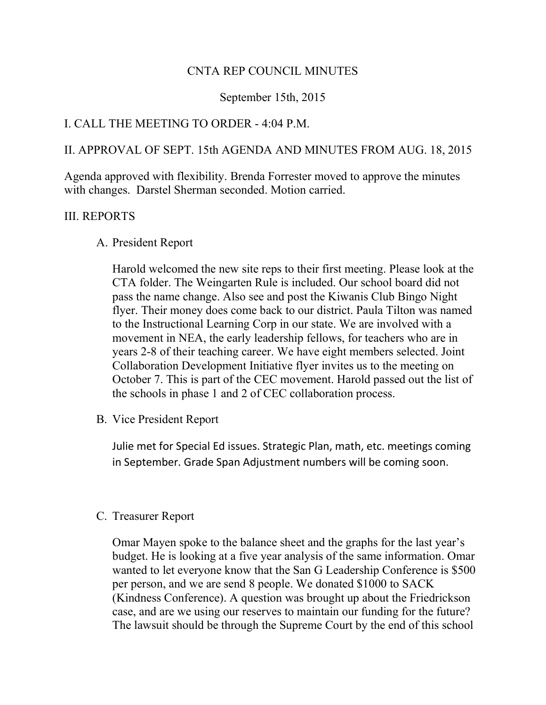### CNTA REP COUNCIL MINUTES

### September 15th, 2015

## I. CALL THE MEETING TO ORDER - 4:04 P.M.

## II. APPROVAL OF SEPT. 15th AGENDA AND MINUTES FROM AUG. 18, 2015

Agenda approved with flexibility. Brenda Forrester moved to approve the minutes with changes. Darstel Sherman seconded. Motion carried.

#### III. REPORTS

#### A. President Report

Harold welcomed the new site reps to their first meeting. Please look at the CTA folder. The Weingarten Rule is included. Our school board did not pass the name change. Also see and post the Kiwanis Club Bingo Night flyer. Their money does come back to our district. Paula Tilton was named to the Instructional Learning Corp in our state. We are involved with a movement in NEA, the early leadership fellows, for teachers who are in years 2-8 of their teaching career. We have eight members selected. Joint Collaboration Development Initiative flyer invites us to the meeting on October 7. This is part of the CEC movement. Harold passed out the list of the schools in phase 1 and 2 of CEC collaboration process.

B. Vice President Report

Julie met for Special Ed issues. Strategic Plan, math, etc. meetings coming in September. Grade Span Adjustment numbers will be coming soon.

#### C. Treasurer Report

Omar Mayen spoke to the balance sheet and the graphs for the last year's budget. He is looking at a five year analysis of the same information. Omar wanted to let everyone know that the San G Leadership Conference is \$500 per person, and we are send 8 people. We donated \$1000 to SACK (Kindness Conference). A question was brought up about the Friedrickson case, and are we using our reserves to maintain our funding for the future? The lawsuit should be through the Supreme Court by the end of this school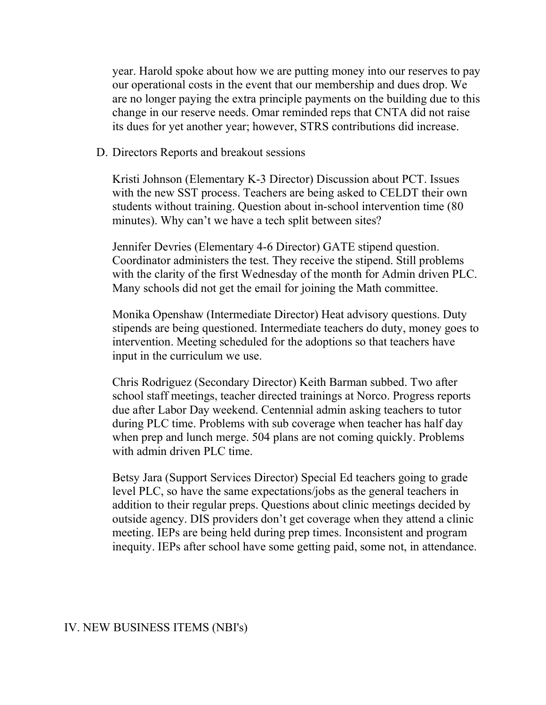year. Harold spoke about how we are putting money into our reserves to pay our operational costs in the event that our membership and dues drop. We are no longer paying the extra principle payments on the building due to this change in our reserve needs. Omar reminded reps that CNTA did not raise its dues for yet another year; however, STRS contributions did increase.

D. Directors Reports and breakout sessions

Kristi Johnson (Elementary K-3 Director) Discussion about PCT. Issues with the new SST process. Teachers are being asked to CELDT their own students without training. Question about in-school intervention time (80 minutes). Why can't we have a tech split between sites?

Jennifer Devries (Elementary 4-6 Director) GATE stipend question. Coordinator administers the test. They receive the stipend. Still problems with the clarity of the first Wednesday of the month for Admin driven PLC. Many schools did not get the email for joining the Math committee.

Monika Openshaw (Intermediate Director) Heat advisory questions. Duty stipends are being questioned. Intermediate teachers do duty, money goes to intervention. Meeting scheduled for the adoptions so that teachers have input in the curriculum we use.

Chris Rodriguez (Secondary Director) Keith Barman subbed. Two after school staff meetings, teacher directed trainings at Norco. Progress reports due after Labor Day weekend. Centennial admin asking teachers to tutor during PLC time. Problems with sub coverage when teacher has half day when prep and lunch merge. 504 plans are not coming quickly. Problems with admin driven PLC time.

Betsy Jara (Support Services Director) Special Ed teachers going to grade level PLC, so have the same expectations/jobs as the general teachers in addition to their regular preps. Questions about clinic meetings decided by outside agency. DIS providers don't get coverage when they attend a clinic meeting. IEPs are being held during prep times. Inconsistent and program inequity. IEPs after school have some getting paid, some not, in attendance.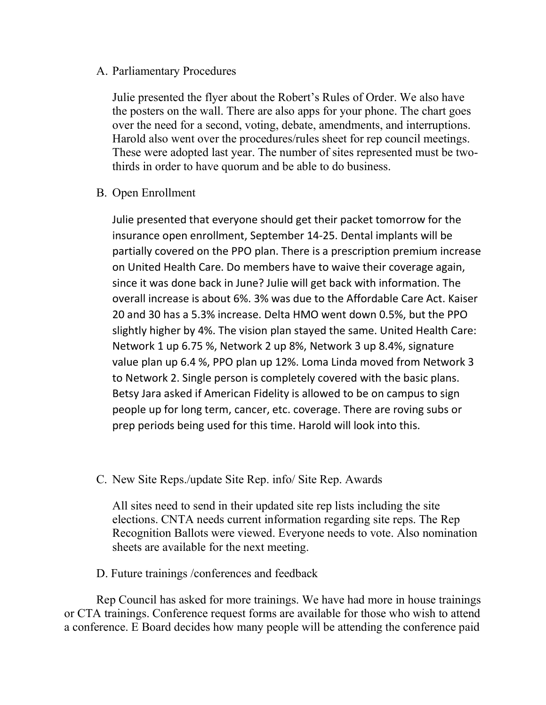#### A. Parliamentary Procedures

Julie presented the flyer about the Robert's Rules of Order. We also have the posters on the wall. There are also apps for your phone. The chart goes over the need for a second, voting, debate, amendments, and interruptions. Harold also went over the procedures/rules sheet for rep council meetings. These were adopted last year. The number of sites represented must be twothirds in order to have quorum and be able to do business.

B. Open Enrollment

Julie presented that everyone should get their packet tomorrow for the insurance open enrollment, September 14-25. Dental implants will be partially covered on the PPO plan. There is a prescription premium increase on United Health Care. Do members have to waive their coverage again, since it was done back in June? Julie will get back with information. The overall increase is about 6%. 3% was due to the Affordable Care Act. Kaiser 20 and 30 has a 5.3% increase. Delta HMO went down 0.5%, but the PPO slightly higher by 4%. The vision plan stayed the same. United Health Care: Network 1 up 6.75 %, Network 2 up 8%, Network 3 up 8.4%, signature value plan up 6.4 %, PPO plan up 12%. Loma Linda moved from Network 3 to Network 2. Single person is completely covered with the basic plans. Betsy Jara asked if American Fidelity is allowed to be on campus to sign people up for long term, cancer, etc. coverage. There are roving subs or prep periods being used for this time. Harold will look into this.

C. New Site Reps./update Site Rep. info/ Site Rep. Awards

All sites need to send in their updated site rep lists including the site elections. CNTA needs current information regarding site reps. The Rep Recognition Ballots were viewed. Everyone needs to vote. Also nomination sheets are available for the next meeting.

D. Future trainings /conferences and feedback

 Rep Council has asked for more trainings. We have had more in house trainings or CTA trainings. Conference request forms are available for those who wish to attend a conference. E Board decides how many people will be attending the conference paid